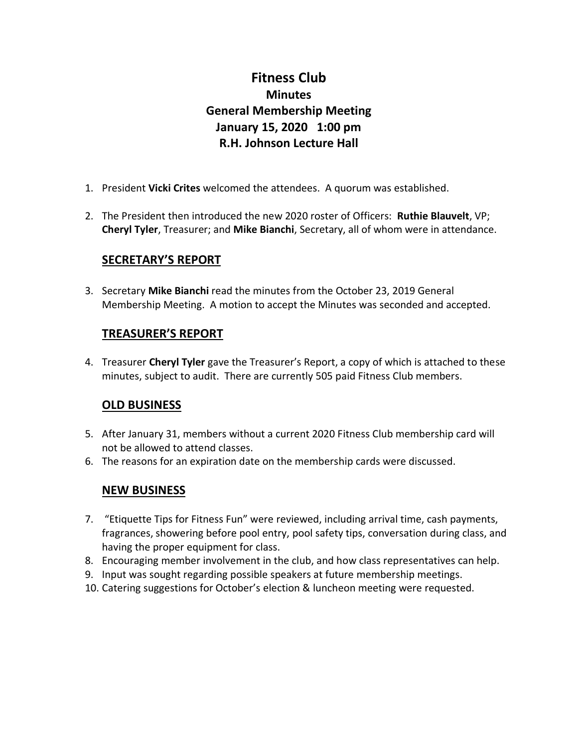# **Fitness Club Minutes General Membership Meeting January 15, 2020 1:00 pm R.H. Johnson Lecture Hall**

- 1. President **Vicki Crites** welcomed the attendees. A quorum was established.
- 2. The President then introduced the new 2020 roster of Officers: **Ruthie Blauvelt**, VP; **Cheryl Tyler**, Treasurer; and **Mike Bianchi**, Secretary, all of whom were in attendance.

## **SECRETARY'S REPORT**

3. Secretary **Mike Bianchi** read the minutes from the October 23, 2019 General Membership Meeting. A motion to accept the Minutes was seconded and accepted.

## **TREASURER'S REPORT**

4. Treasurer **Cheryl Tyler** gave the Treasurer's Report, a copy of which is attached to these minutes, subject to audit. There are currently 505 paid Fitness Club members.

#### **OLD BUSINESS**

- 5. After January 31, members without a current 2020 Fitness Club membership card will not be allowed to attend classes.
- 6. The reasons for an expiration date on the membership cards were discussed.

#### **NEW BUSINESS**

- 7. "Etiquette Tips for Fitness Fun" were reviewed, including arrival time, cash payments, fragrances, showering before pool entry, pool safety tips, conversation during class, and having the proper equipment for class.
- 8. Encouraging member involvement in the club, and how class representatives can help.
- 9. Input was sought regarding possible speakers at future membership meetings.
- 10. Catering suggestions for October's election & luncheon meeting were requested.